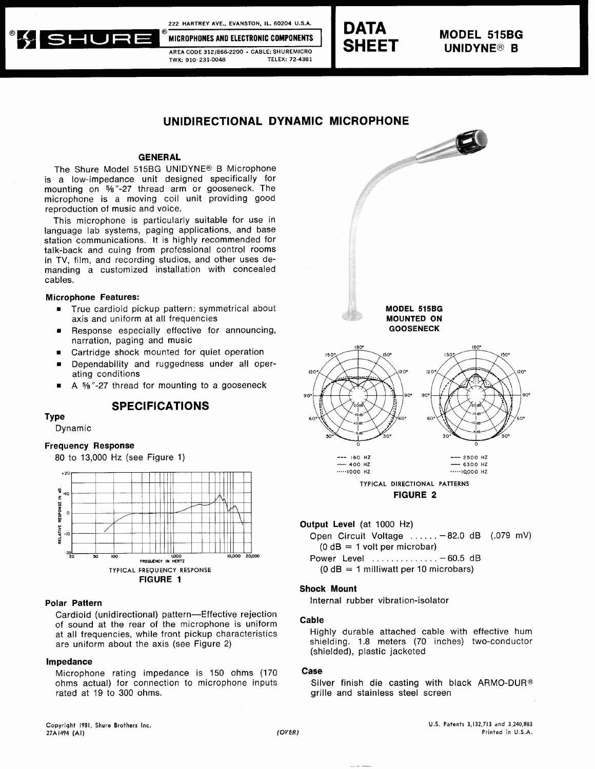**222 HARTREY AVE.. EVANSTON,** IL. **60204 U.S.A.** 





**MODEL 515BG** 

# **UNIDIRECTIONAL DYNAMIC MICROPHONE**

## **GENERAL**

The Shure Model 515BG UNIDYNE® B Microphone is a low-impedance unit designed specifically for mounting on %"-27 thread arm or gooseneck. The microphone is a moving coil unit providing good reproduction of music and voice.

This microphone is particularly suitable for use in language lab systems, paging applications, and base station communications. It is highly recommended for talk-back and cuing from professional control rooms in TV, film, and recording studios, and other uses demanding a customized installation with concealed cables.

## **Microphone Features:**

- True cardioid pickup pattern: symmetrical about **MODEL 515BG MODEL 515BG MODEL 515BG MOUNTED ON** axis and uniform at all frequencies
- Response especially effective for announcing, **GOOSENECK** narration, paging and music
- Cartridge shock mounted for quiet operation
- Dependability and ruggedness under all operating conditions
- A %"-27 thread for mounting to a gooseneck

## **SPECIFICATIONS**

**TY pe** 

## Dynamic

# **Frequency Response**



#### **Polar Pattern**

Cardioid (unidirectional) pattern-Effective rejection of sound at the rear of the microphone is uniform at all frequencies, while front pickup characteristics are uniform about the axis (see Figure 2)

#### **Impedance**

Microphone rating impedance is 150 ohms (170 ohms actual) for connection to microphone inputs rated at 19 to 300 ohms.



**Output Level** (at 1000 Hz)

Open Circuit Voltage . . . . . . - 82.0 dB (.079 mV)  $(0 dB = 1$  volt per microbar)

**FREwENcY IN HERTZ** Power Level . . . . . . . . . . . . . . - 60.5 dB

 $(0 dB = 1$  milliwatt per 10 microbars)

## **Shock Mount**

Internal rubber vibration-isolator

#### **Cable**

Highly durable attached cable with effective hum shielding. 1.8 meters (70 inches) two-conductor (shielded), plastic jacketed

#### **Case**

Silver finish die casting with black ARMO-DUR@ grille and stainless steel screen